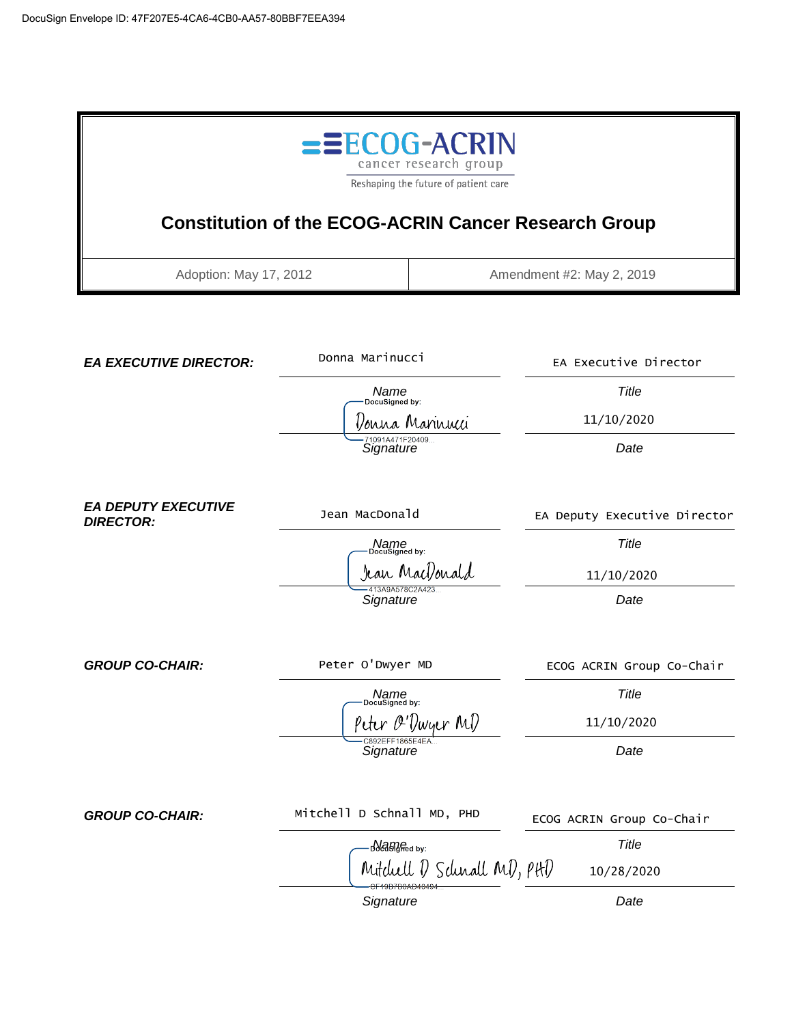

*Signature Date*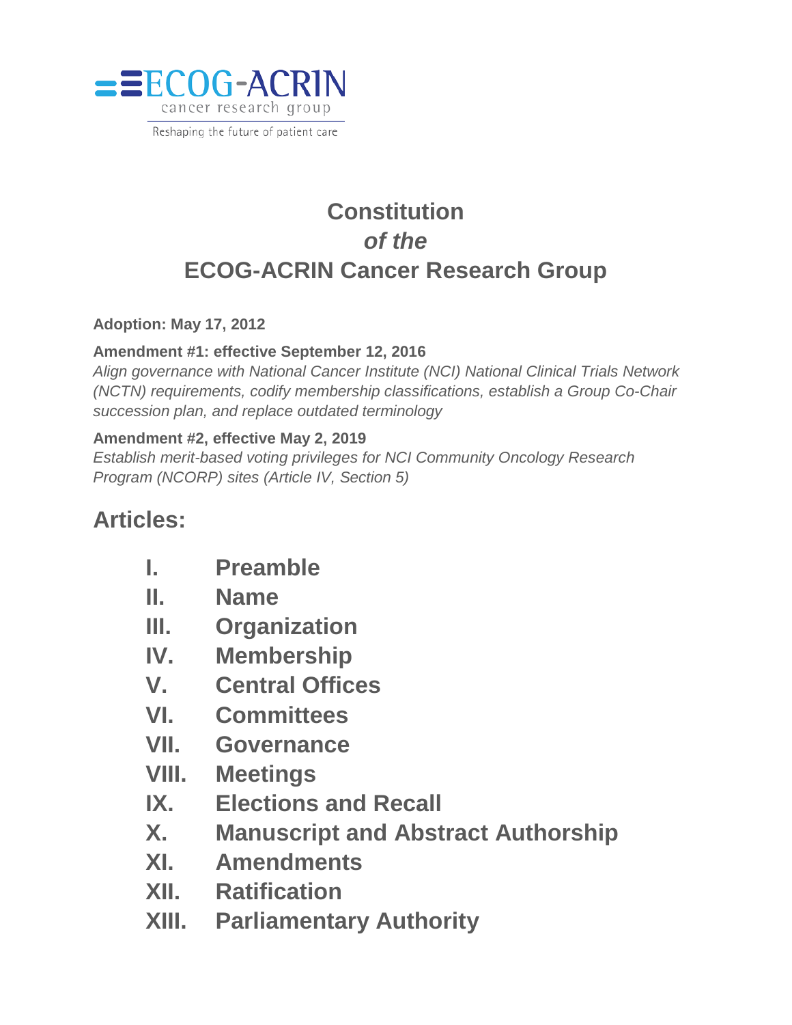

Reshaping the future of patient care

# **Constitution** *of the*  **ECOG-ACRIN Cancer Research Group**

**Adoption: May 17, 2012**

#### **Amendment #1: effective September 12, 2016**

*Align governance with National Cancer Institute (NCI) National Clinical Trials Network (NCTN) requirements, codify membership classifications, establish a Group Co-Chair succession plan, and replace outdated terminology*

#### **Amendment #2, effective May 2, 2019**

*Establish merit-based voting privileges for NCI Community Oncology Research Program (NCORP) sites (Article IV, Section 5)*

## **Articles:**

- **I. Preamble**
- **II. Name**
- **III. Organization**
- **IV. Membership**
- **V. Central Offices**
- **VI. Committees**
- **VII. Governance**
- **VIII. Meetings**
- **IX. Elections and Recall**
- **X. Manuscript and Abstract Authorship**
- **XI. Amendments**
- **XII. Ratification**
- **XIII. Parliamentary Authority**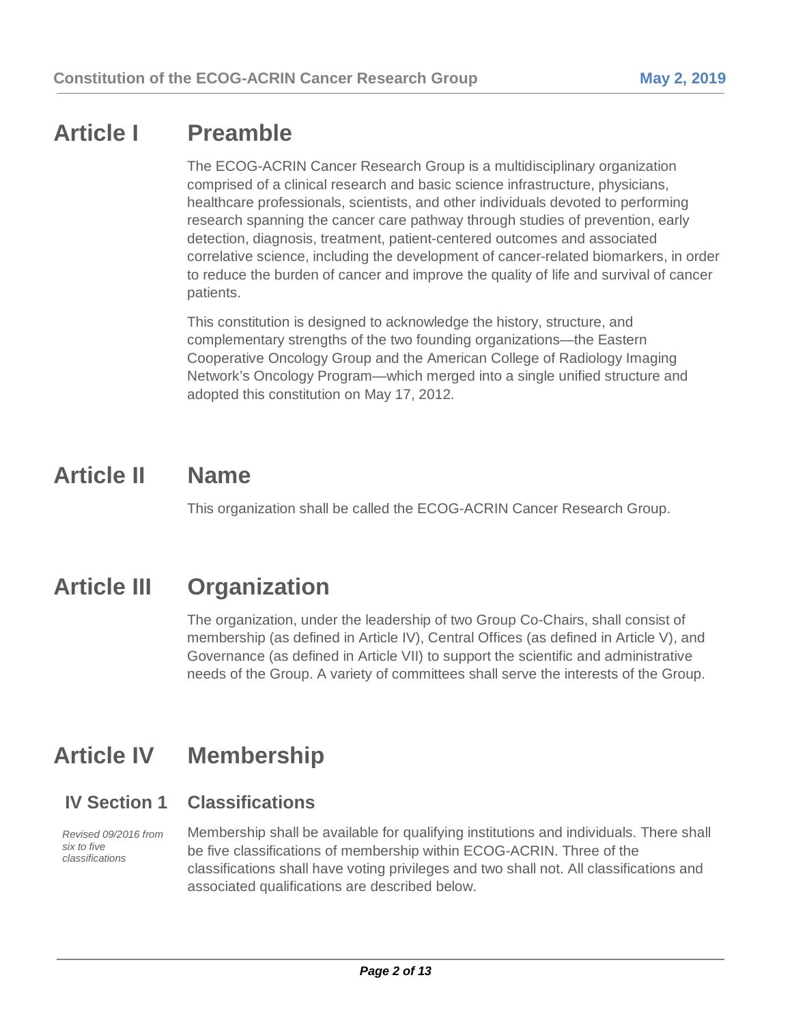## **Article I Preamble**

The ECOG-ACRIN Cancer Research Group is a multidisciplinary organization comprised of a clinical research and basic science infrastructure, physicians, healthcare professionals, scientists, and other individuals devoted to performing research spanning the cancer care pathway through studies of prevention, early detection, diagnosis, treatment, patient-centered outcomes and associated correlative science, including the development of cancer-related biomarkers, in order to reduce the burden of cancer and improve the quality of life and survival of cancer patients.

This constitution is designed to acknowledge the history, structure, and complementary strengths of the two founding organizations—the Eastern Cooperative Oncology Group and the American College of Radiology Imaging Network's Oncology Program—which merged into a single unified structure and adopted this constitution on May 17, 2012.

## **Article II Name**

This organization shall be called the ECOG-ACRIN Cancer Research Group.

## **Article III Organization**

The organization, under the leadership of two Group Co-Chairs, shall consist of membership (as defined in Article IV), Central Offices (as defined in Article V), and Governance (as defined in Article VII) to support the scientific and administrative needs of the Group. A variety of committees shall serve the interests of the Group.

## **Article IV Membership**

#### **IV Section 1 Classifications**

*Revised 09/2016 from six to five classifications*

Membership shall be available for qualifying institutions and individuals. There shall be five classifications of membership within ECOG-ACRIN. Three of the classifications shall have voting privileges and two shall not. All classifications and associated qualifications are described below.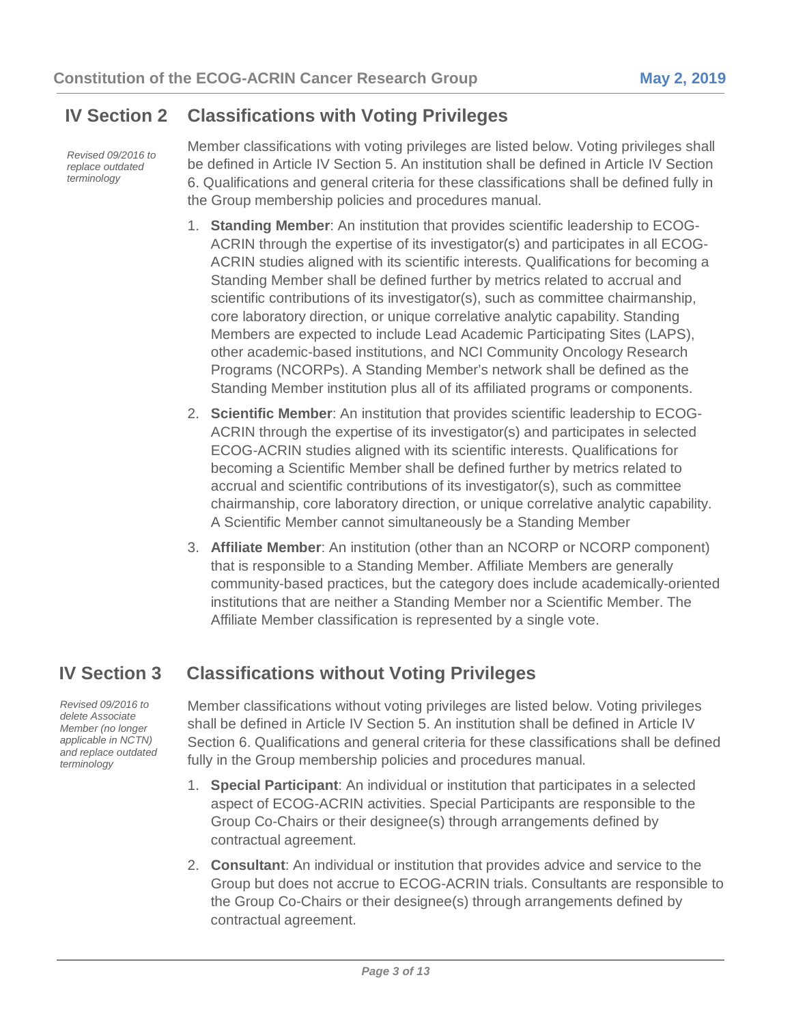#### **IV Section 2 Classifications with Voting Privileges**

*Revised 09/2016 to replace outdated terminology* 

Member classifications with voting privileges are listed below. Voting privileges shall be defined in Article IV Section 5. An institution shall be defined in Article IV Section 6. Qualifications and general criteria for these classifications shall be defined fully in the Group membership policies and procedures manual.

- 1. **Standing Member**: An institution that provides scientific leadership to ECOG-ACRIN through the expertise of its investigator(s) and participates in all ECOG-ACRIN studies aligned with its scientific interests. Qualifications for becoming a Standing Member shall be defined further by metrics related to accrual and scientific contributions of its investigator(s), such as committee chairmanship, core laboratory direction, or unique correlative analytic capability. Standing Members are expected to include Lead Academic Participating Sites (LAPS), other academic-based institutions, and NCI Community Oncology Research Programs (NCORPs). A Standing Member's network shall be defined as the Standing Member institution plus all of its affiliated programs or components.
- 2. **Scientific Member**: An institution that provides scientific leadership to ECOG-ACRIN through the expertise of its investigator(s) and participates in selected ECOG-ACRIN studies aligned with its scientific interests. Qualifications for becoming a Scientific Member shall be defined further by metrics related to accrual and scientific contributions of its investigator(s), such as committee chairmanship, core laboratory direction, or unique correlative analytic capability. A Scientific Member cannot simultaneously be a Standing Member
- 3. **Affiliate Member**: An institution (other than an NCORP or NCORP component) that is responsible to a Standing Member. Affiliate Members are generally community-based practices, but the category does include academically-oriented institutions that are neither a Standing Member nor a Scientific Member. The Affiliate Member classification is represented by a single vote.

#### **IV Section 3 Classifications without Voting Privileges**

*Revised 09/2016 to delete Associate Member (no longer applicable in NCTN) and replace outdated terminology* 

Member classifications without voting privileges are listed below. Voting privileges shall be defined in Article IV Section 5. An institution shall be defined in Article IV Section 6. Qualifications and general criteria for these classifications shall be defined fully in the Group membership policies and procedures manual.

- 1. **Special Participant**: An individual or institution that participates in a selected aspect of ECOG-ACRIN activities. Special Participants are responsible to the Group Co-Chairs or their designee(s) through arrangements defined by contractual agreement.
- 2. **Consultant**: An individual or institution that provides advice and service to the Group but does not accrue to ECOG-ACRIN trials. Consultants are responsible to the Group Co-Chairs or their designee(s) through arrangements defined by contractual agreement.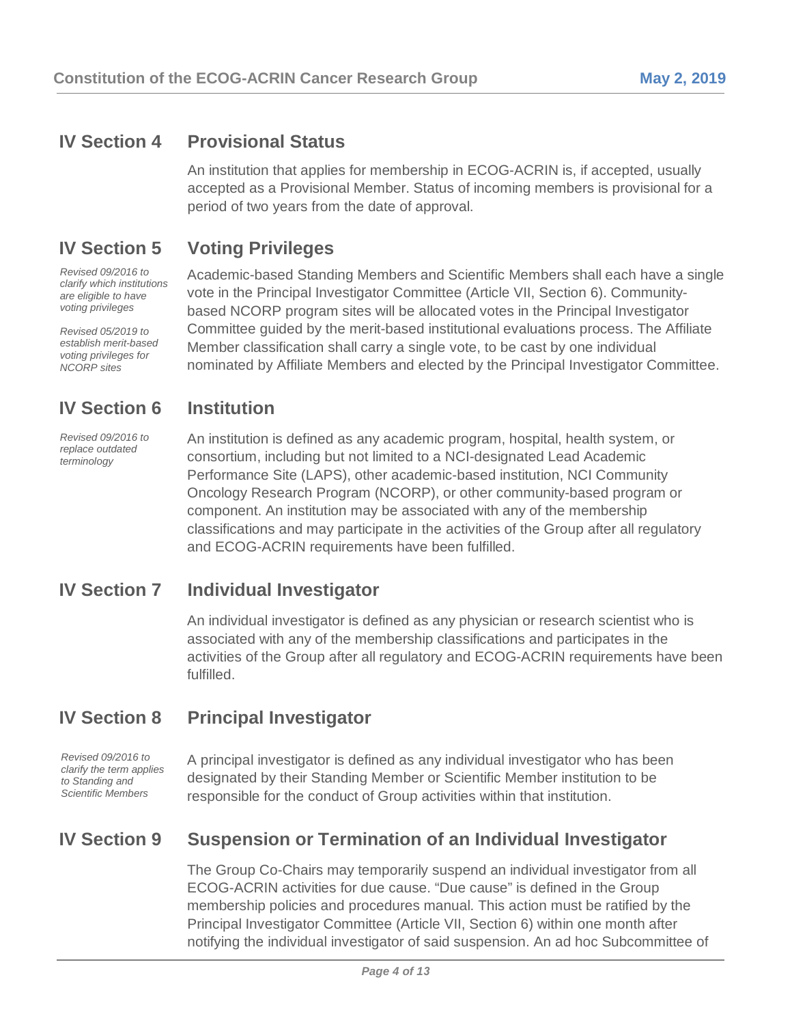#### **IV Section 4 Provisional Status**

An institution that applies for membership in ECOG-ACRIN is, if accepted, usually accepted as a Provisional Member. Status of incoming members is provisional for a period of two years from the date of approval.

#### **IV Section 5 Voting Privileges**

*Revised 09/2016 to clarify which institutions are eligible to have voting privileges*

*Revised 05/2019 to establish merit-based voting privileges for NCORP sites* 

Academic-based Standing Members and Scientific Members shall each have a single vote in the Principal Investigator Committee (Article VII, Section 6). Communitybased NCORP program sites will be allocated votes in the Principal Investigator Committee guided by the merit-based institutional evaluations process. The Affiliate Member classification shall carry a single vote, to be cast by one individual nominated by Affiliate Members and elected by the Principal Investigator Committee.

### **IV Section 6 Institution**

*Revised 09/2016 to replace outdated terminology* 

An institution is defined as any academic program, hospital, health system, or consortium, including but not limited to a NCI-designated Lead Academic Performance Site (LAPS), other academic-based institution, NCI Community Oncology Research Program (NCORP), or other community-based program or component. An institution may be associated with any of the membership classifications and may participate in the activities of the Group after all regulatory and ECOG-ACRIN requirements have been fulfilled.

#### **IV Section 7 Individual Investigator**

An individual investigator is defined as any physician or research scientist who is associated with any of the membership classifications and participates in the activities of the Group after all regulatory and ECOG-ACRIN requirements have been fulfilled.

#### **IV Section 8 Principal Investigator**

*Revised 09/2016 to clarify the term applies to Standing and Scientific Members*

A principal investigator is defined as any individual investigator who has been designated by their Standing Member or Scientific Member institution to be responsible for the conduct of Group activities within that institution.

#### **IV Section 9 Suspension or Termination of an Individual Investigator**

The Group Co-Chairs may temporarily suspend an individual investigator from all ECOG-ACRIN activities for due cause. "Due cause" is defined in the Group membership policies and procedures manual. This action must be ratified by the Principal Investigator Committee (Article VII, Section 6) within one month after notifying the individual investigator of said suspension. An ad hoc Subcommittee of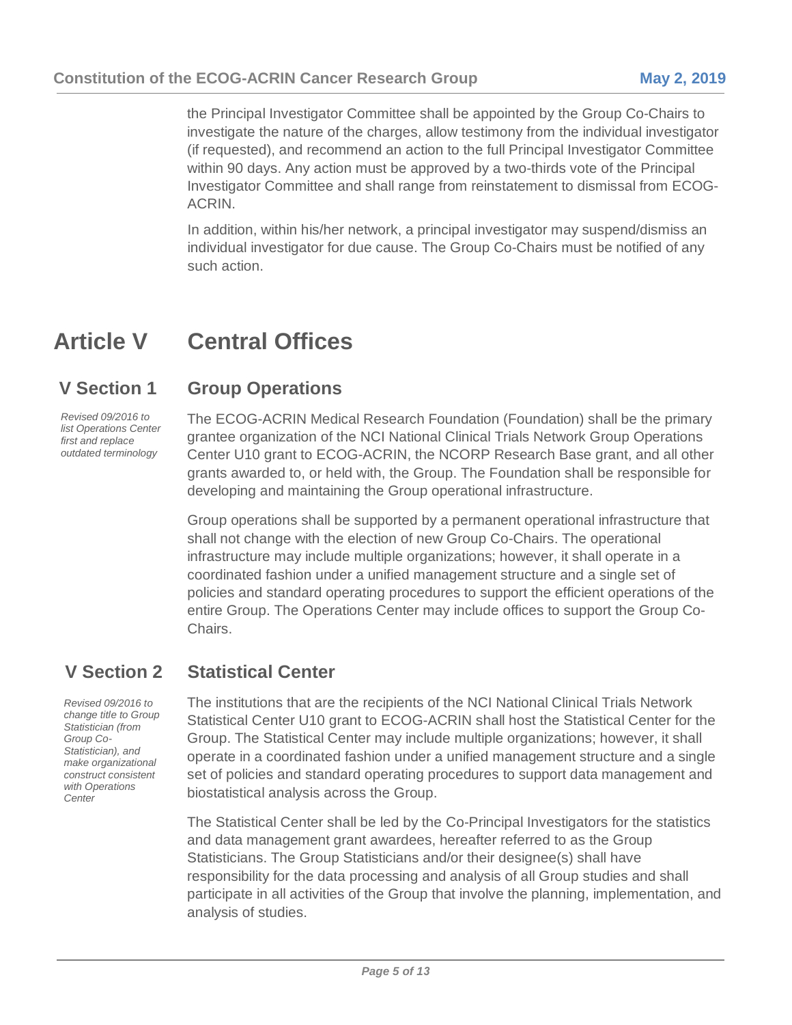the Principal Investigator Committee shall be appointed by the Group Co-Chairs to investigate the nature of the charges, allow testimony from the individual investigator (if requested), and recommend an action to the full Principal Investigator Committee within 90 days. Any action must be approved by a two-thirds vote of the Principal Investigator Committee and shall range from reinstatement to dismissal from ECOG-ACRIN.

In addition, within his/her network, a principal investigator may suspend/dismiss an individual investigator for due cause. The Group Co-Chairs must be notified of any such action.

## **Article V Central Offices**

### **V Section 1 Group Operations**

*Revised 09/2016 to list Operations Center first and replace outdated terminology*

The ECOG-ACRIN Medical Research Foundation (Foundation) shall be the primary grantee organization of the NCI National Clinical Trials Network Group Operations Center U10 grant to ECOG-ACRIN, the NCORP Research Base grant, and all other grants awarded to, or held with, the Group. The Foundation shall be responsible for developing and maintaining the Group operational infrastructure.

Group operations shall be supported by a permanent operational infrastructure that shall not change with the election of new Group Co-Chairs. The operational infrastructure may include multiple organizations; however, it shall operate in a coordinated fashion under a unified management structure and a single set of policies and standard operating procedures to support the efficient operations of the entire Group. The Operations Center may include offices to support the Group Co-Chairs.

#### **V Section 2 Statistical Center**

*Revised 09/2016 to change title to Group Statistician (from Group Co-Statistician), and make organizational construct consistent with Operations Center*

The institutions that are the recipients of the NCI National Clinical Trials Network Statistical Center U10 grant to ECOG-ACRIN shall host the Statistical Center for the Group. The Statistical Center may include multiple organizations; however, it shall operate in a coordinated fashion under a unified management structure and a single set of policies and standard operating procedures to support data management and biostatistical analysis across the Group.

The Statistical Center shall be led by the Co-Principal Investigators for the statistics and data management grant awardees, hereafter referred to as the Group Statisticians. The Group Statisticians and/or their designee(s) shall have responsibility for the data processing and analysis of all Group studies and shall participate in all activities of the Group that involve the planning, implementation, and analysis of studies.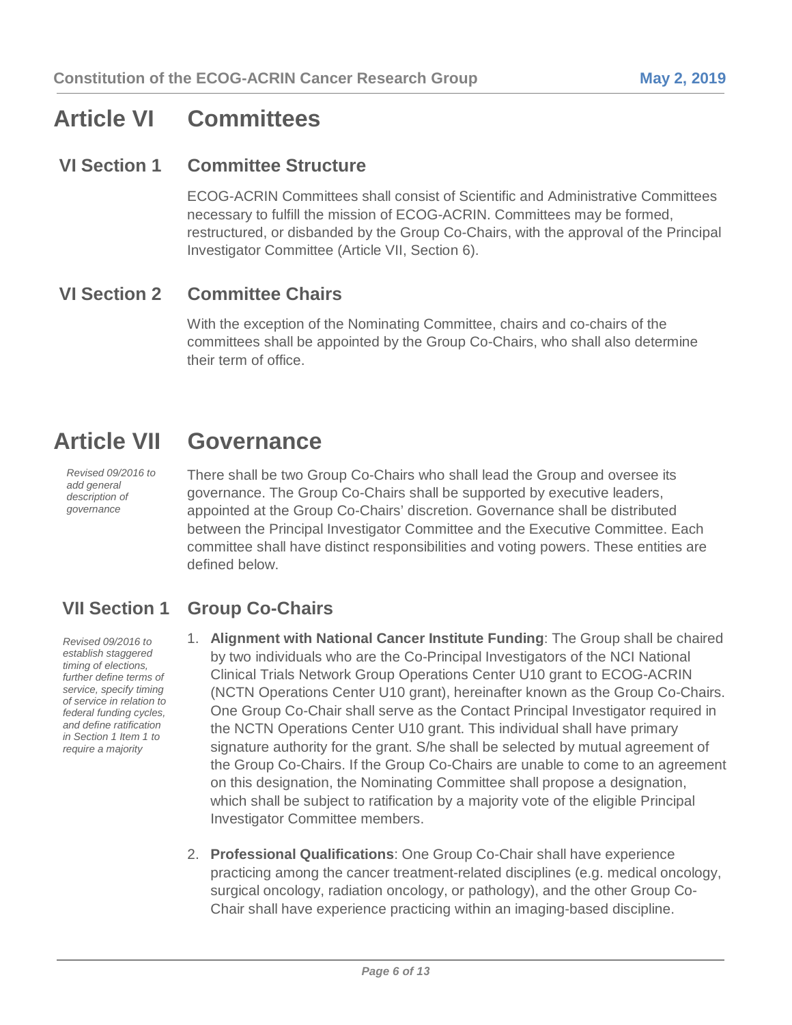## **Article VI Committees**

#### **VI Section 1 Committee Structure**

ECOG-ACRIN Committees shall consist of Scientific and Administrative Committees necessary to fulfill the mission of ECOG-ACRIN. Committees may be formed, restructured, or disbanded by the Group Co-Chairs, with the approval of the Principal Investigator Committee (Article VII, Section 6).

#### **VI Section 2 Committee Chairs**

With the exception of the Nominating Committee, chairs and co-chairs of the committees shall be appointed by the Group Co-Chairs, who shall also determine their term of office.

## **Article VII Governance**

*Revised 09/2016 to add general description of governance* 

There shall be two Group Co-Chairs who shall lead the Group and oversee its governance. The Group Co-Chairs shall be supported by executive leaders, appointed at the Group Co-Chairs' discretion. Governance shall be distributed between the Principal Investigator Committee and the Executive Committee. Each committee shall have distinct responsibilities and voting powers. These entities are defined below.

## **VII Section 1 Group Co-Chairs**

*Revised 09/2016 to establish staggered timing of elections, further define terms of service, specify timing of service in relation to federal funding cycles, and define ratification in Section 1 Item 1 to require a majority*

- 1. **Alignment with National Cancer Institute Funding**: The Group shall be chaired by two individuals who are the Co-Principal Investigators of the NCI National Clinical Trials Network Group Operations Center U10 grant to ECOG-ACRIN (NCTN Operations Center U10 grant), hereinafter known as the Group Co-Chairs. One Group Co-Chair shall serve as the Contact Principal Investigator required in the NCTN Operations Center U10 grant. This individual shall have primary signature authority for the grant. S/he shall be selected by mutual agreement of the Group Co-Chairs. If the Group Co-Chairs are unable to come to an agreement on this designation, the Nominating Committee shall propose a designation, which shall be subject to ratification by a majority vote of the eligible Principal Investigator Committee members.
- 2. **Professional Qualifications**: One Group Co-Chair shall have experience practicing among the cancer treatment-related disciplines (e.g. medical oncology, surgical oncology, radiation oncology, or pathology), and the other Group Co-Chair shall have experience practicing within an imaging-based discipline.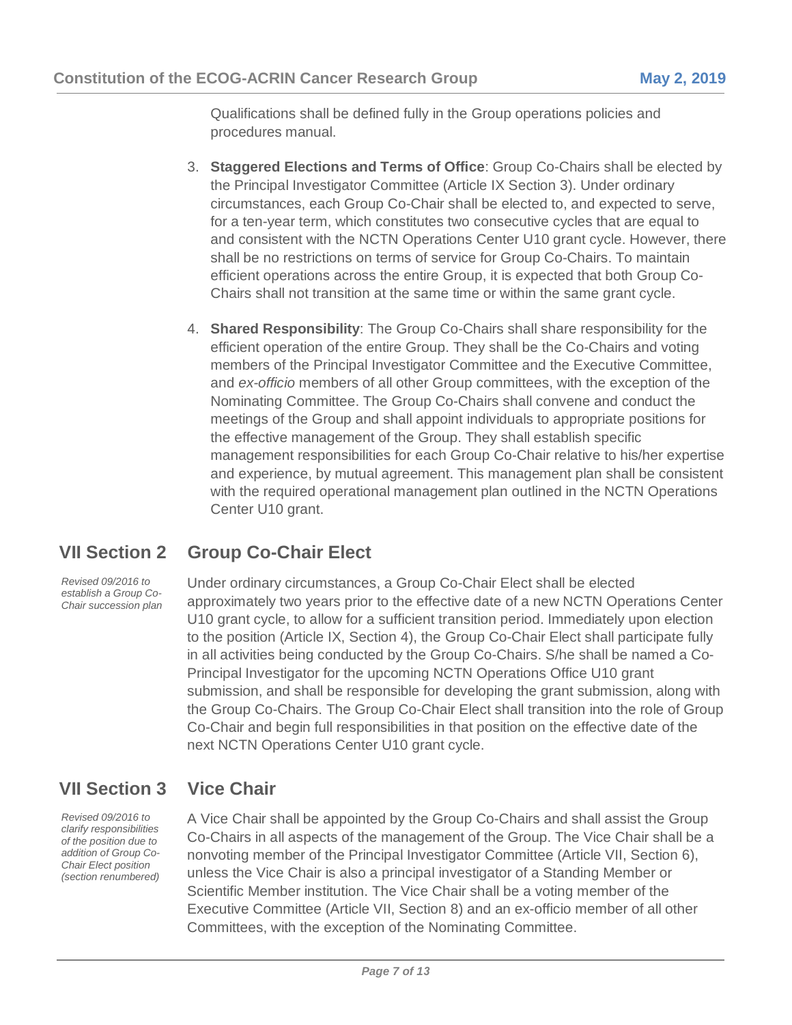Qualifications shall be defined fully in the Group operations policies and procedures manual.

- 3. **Staggered Elections and Terms of Office**: Group Co-Chairs shall be elected by the Principal Investigator Committee (Article IX Section 3). Under ordinary circumstances, each Group Co-Chair shall be elected to, and expected to serve, for a ten-year term, which constitutes two consecutive cycles that are equal to and consistent with the NCTN Operations Center U10 grant cycle. However, there shall be no restrictions on terms of service for Group Co-Chairs. To maintain efficient operations across the entire Group, it is expected that both Group Co-Chairs shall not transition at the same time or within the same grant cycle.
- 4. **Shared Responsibility**: The Group Co-Chairs shall share responsibility for the efficient operation of the entire Group. They shall be the Co-Chairs and voting members of the Principal Investigator Committee and the Executive Committee, and *ex-officio* members of all other Group committees, with the exception of the Nominating Committee. The Group Co-Chairs shall convene and conduct the meetings of the Group and shall appoint individuals to appropriate positions for the effective management of the Group. They shall establish specific management responsibilities for each Group Co-Chair relative to his/her expertise and experience, by mutual agreement. This management plan shall be consistent with the required operational management plan outlined in the NCTN Operations Center U10 grant.

#### **VII Section 2 Group Co-Chair Elect**

*Revised 09/2016 to establish a Group Co-Chair succession plan* Under ordinary circumstances, a Group Co-Chair Elect shall be elected approximately two years prior to the effective date of a new NCTN Operations Center U10 grant cycle, to allow for a sufficient transition period. Immediately upon election to the position (Article IX, Section 4), the Group Co-Chair Elect shall participate fully in all activities being conducted by the Group Co-Chairs. S/he shall be named a Co-Principal Investigator for the upcoming NCTN Operations Office U10 grant submission, and shall be responsible for developing the grant submission, along with the Group Co-Chairs. The Group Co-Chair Elect shall transition into the role of Group Co-Chair and begin full responsibilities in that position on the effective date of the next NCTN Operations Center U10 grant cycle.

#### **VII Section 3 Vice Chair**

*Revised 09/2016 to clarify responsibilities of the position due to addition of Group Co-Chair Elect position (section renumbered)* A Vice Chair shall be appointed by the Group Co-Chairs and shall assist the Group Co-Chairs in all aspects of the management of the Group. The Vice Chair shall be a nonvoting member of the Principal Investigator Committee (Article VII, Section 6), unless the Vice Chair is also a principal investigator of a Standing Member or Scientific Member institution. The Vice Chair shall be a voting member of the Executive Committee (Article VII, Section 8) and an ex-officio member of all other Committees, with the exception of the Nominating Committee.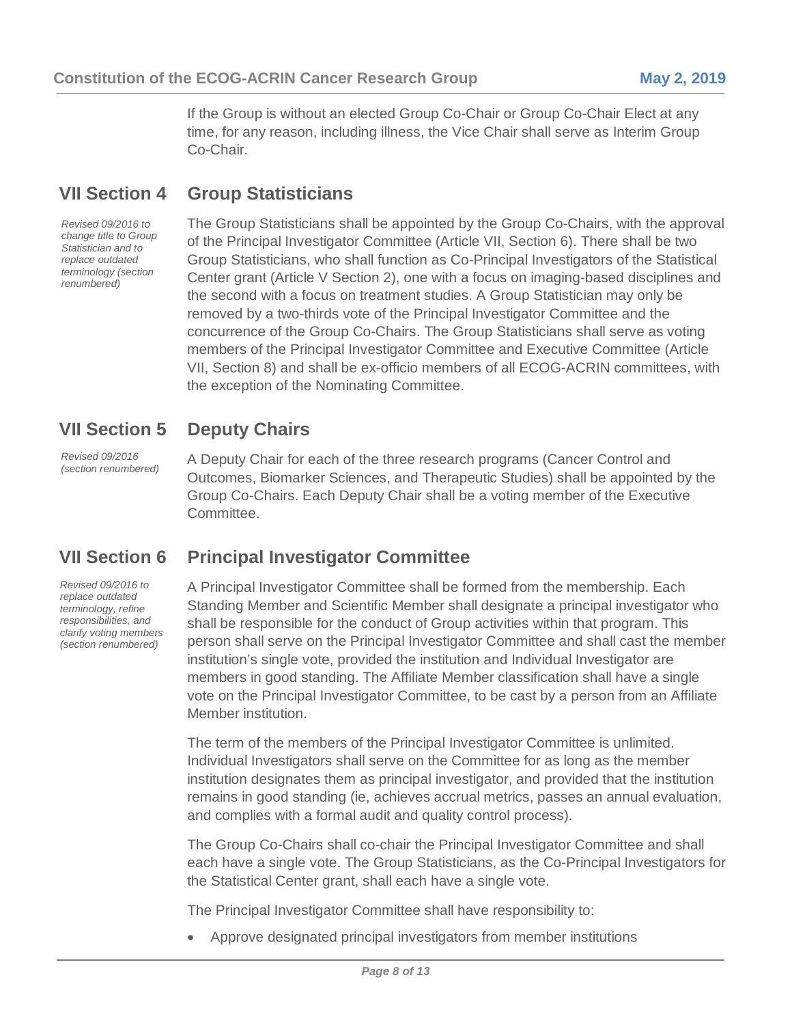If the Group is without an elected Group Co-Chair or Group Co-Chair Elect at any time, for any reason, including illness, the Vice Chair shall serve as Interim Group Co-Chair.

#### **VII Section 4 Group Statisticians**

#### *Revised 09/2016 to change title to Group Statistician and to replace outdated terminology (section renumbered)*

The Group Statisticians shall be appointed by the Group Co-Chairs, with the approval of the Principal Investigator Committee (Article VII, Section 6). There shall be two Group Statisticians, who shall function as Co-Principal Investigators of the Statistical Center grant (Article V Section 2), one with a focus on imaging-based disciplines and the second with a focus on treatment studies. A Group Statistician may only be removed by a two-thirds vote of the Principal Investigator Committee and the concurrence of the Group Co-Chairs. The Group Statisticians shall serve as voting members of the Principal Investigator Committee and Executive Committee (Article VII, Section 8) and shall be ex-officio members of all ECOG-ACRIN committees, with the exception of the Nominating Committee.

#### **VII Section 5 Deputy Chairs**

*Revised 09/2016 (section renumbered)* A Deputy Chair for each of the three research programs (Cancer Control and Outcomes, Biomarker Sciences, and Therapeutic Studies) shall be appointed by the Group Co-Chairs. Each Deputy Chair shall be a voting member of the Executive Committee.

#### **VII Section 6 Principal Investigator Committee**

*Revised 09/2016 to replace outdated terminology, refine responsibilities, and clarify voting members (section renumbered)*

A Principal Investigator Committee shall be formed from the membership. Each Standing Member and Scientific Member shall designate a principal investigator who shall be responsible for the conduct of Group activities within that program. This person shall serve on the Principal Investigator Committee and shall cast the member institution's single vote, provided the institution and Individual Investigator are members in good standing. The Affiliate Member classification shall have a single vote on the Principal Investigator Committee, to be cast by a person from an Affiliate Member institution.

The term of the members of the Principal Investigator Committee is unlimited. Individual Investigators shall serve on the Committee for as long as the member institution designates them as principal investigator, and provided that the institution remains in good standing (ie, achieves accrual metrics, passes an annual evaluation, and complies with a formal audit and quality control process).

The Group Co-Chairs shall co-chair the Principal Investigator Committee and shall each have a single vote. The Group Statisticians, as the Co-Principal Investigators for the Statistical Center grant, shall each have a single vote.

The Principal Investigator Committee shall have responsibility to:

• Approve designated principal investigators from member institutions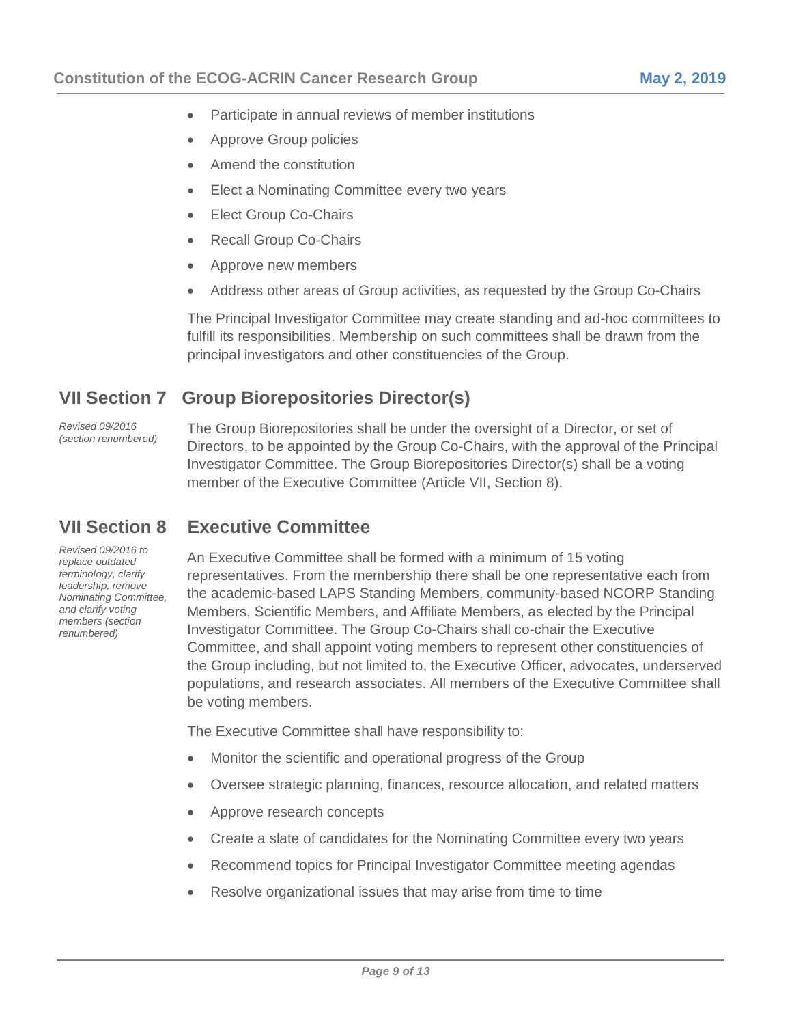- Participate in annual reviews of member institutions
- Approve Group policies
- Amend the constitution
- Elect a Nominating Committee every two years
- Elect Group Co-Chairs
- Recall Group Co-Chairs
- Approve new members
- Address other areas of Group activities, as requested by the Group Co-Chairs

The Principal Investigator Committee may create standing and ad-hoc committees to fulfill its responsibilities. Membership on such committees shall be drawn from the principal investigators and other constituencies of the Group.

#### **VII Section 7 Group Biorepositories Director(s)**

*Revised 09/2016 (section renumbered)* The Group Biorepositories shall be under the oversight of a Director, or set of Directors, to be appointed by the Group Co-Chairs, with the approval of the Principal Investigator Committee. The Group Biorepositories Director(s) shall be a voting member of the Executive Committee (Article VII, Section 8).

#### **VII Section 8 Executive Committee**

*Revised 09/2016 to replace outdated terminology, clarify leadership, remove Nominating Committee, and clarify voting members (section renumbered)*

An Executive Committee shall be formed with a minimum of 15 voting representatives. From the membership there shall be one representative each from the academic-based LAPS Standing Members, community-based NCORP Standing Members, Scientific Members, and Affiliate Members, as elected by the Principal Investigator Committee. The Group Co-Chairs shall co-chair the Executive Committee, and shall appoint voting members to represent other constituencies of the Group including, but not limited to, the Executive Officer, advocates, underserved populations, and research associates. All members of the Executive Committee shall be voting members.

The Executive Committee shall have responsibility to:

- Monitor the scientific and operational progress of the Group
- Oversee strategic planning, finances, resource allocation, and related matters
- Approve research concepts
- Create a slate of candidates for the Nominating Committee every two years
- Recommend topics for Principal Investigator Committee meeting agendas
- Resolve organizational issues that may arise from time to time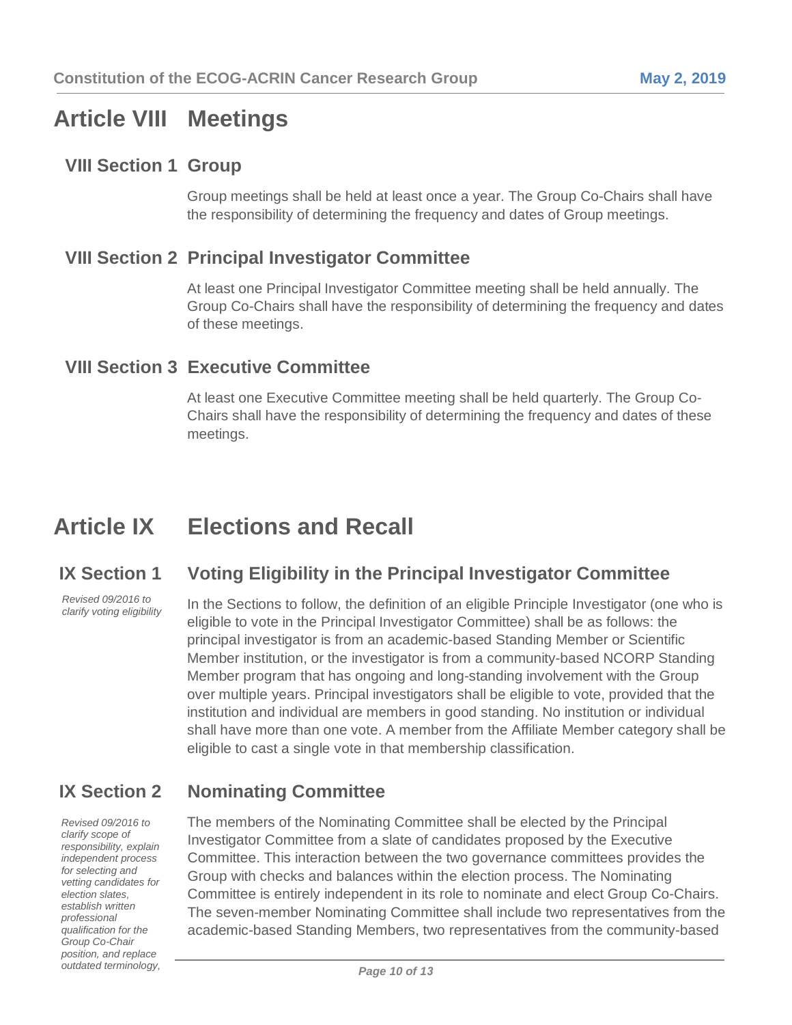## **Article VIII Meetings**

#### **VIII Section 1 Group**

Group meetings shall be held at least once a year. The Group Co-Chairs shall have the responsibility of determining the frequency and dates of Group meetings.

#### **VIII Section 2 Principal Investigator Committee**

At least one Principal Investigator Committee meeting shall be held annually. The Group Co-Chairs shall have the responsibility of determining the frequency and dates of these meetings.

#### **VIII Section 3 Executive Committee**

At least one Executive Committee meeting shall be held quarterly. The Group Co-Chairs shall have the responsibility of determining the frequency and dates of these meetings.

## **Article IX Elections and Recall**

#### **IX Section 1 Voting Eligibility in the Principal Investigator Committee**

*Revised 09/2016 to clarify voting eligibility*

In the Sections to follow, the definition of an eligible Principle Investigator (one who is eligible to vote in the Principal Investigator Committee) shall be as follows: the principal investigator is from an academic-based Standing Member or Scientific Member institution, or the investigator is from a community-based NCORP Standing Member program that has ongoing and long-standing involvement with the Group over multiple years. Principal investigators shall be eligible to vote, provided that the institution and individual are members in good standing. No institution or individual shall have more than one vote. A member from the Affiliate Member category shall be eligible to cast a single vote in that membership classification.

#### **IX Section 2 Nominating Committee**

*Revised 09/2016 to clarify scope of responsibility, explain independent process for selecting and vetting candidates for election slates, establish written professional qualification for the Group Co-Chair position, and replace outdated terminology,* The members of the Nominating Committee shall be elected by the Principal Investigator Committee from a slate of candidates proposed by the Executive Committee. This interaction between the two governance committees provides the Group with checks and balances within the election process. The Nominating Committee is entirely independent in its role to nominate and elect Group Co-Chairs. The seven-member Nominating Committee shall include two representatives from the academic-based Standing Members, two representatives from the community-based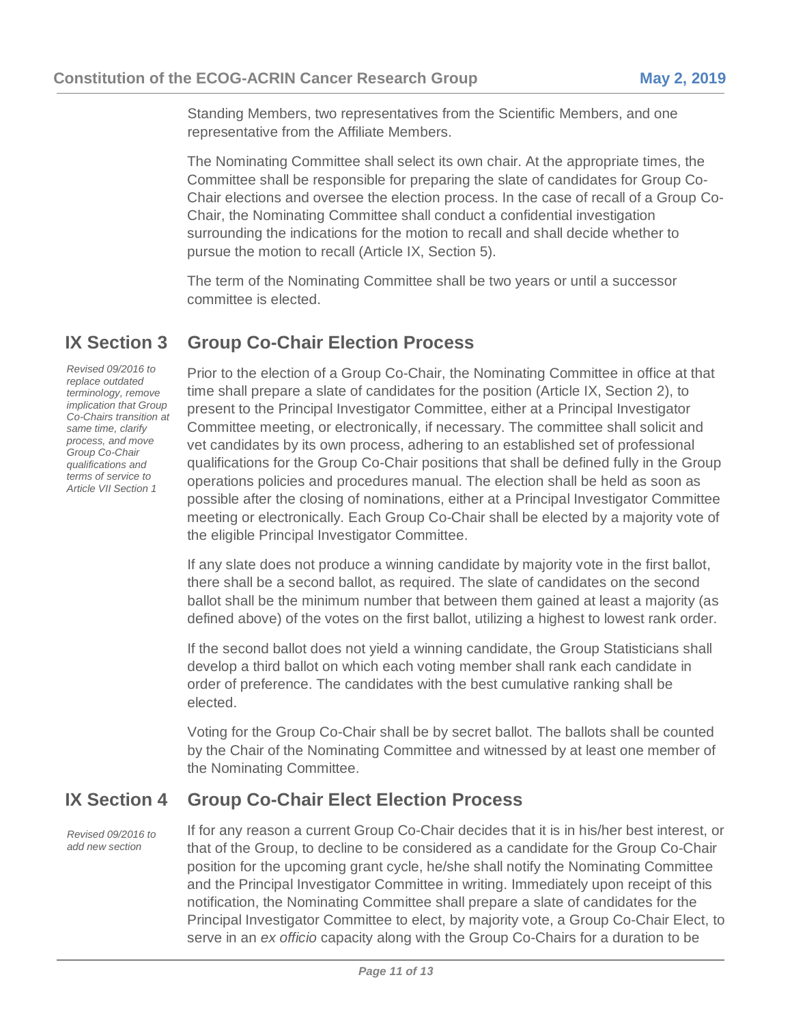Standing Members, two representatives from the Scientific Members, and one representative from the Affiliate Members.

The Nominating Committee shall select its own chair. At the appropriate times, the Committee shall be responsible for preparing the slate of candidates for Group Co-Chair elections and oversee the election process. In the case of recall of a Group Co-Chair, the Nominating Committee shall conduct a confidential investigation surrounding the indications for the motion to recall and shall decide whether to pursue the motion to recall (Article IX, Section 5).

The term of the Nominating Committee shall be two years or until a successor committee is elected.

#### **IX Section 3 Group Co-Chair Election Process**

*Revised 09/2016 to replace outdated terminology, remove implication that Group Co-Chairs transition at same time, clarify process, and move Group Co-Chair qualifications and terms of service to Article VII Section 1*

Prior to the election of a Group Co-Chair, the Nominating Committee in office at that time shall prepare a slate of candidates for the position (Article IX, Section 2), to present to the Principal Investigator Committee, either at a Principal Investigator Committee meeting, or electronically, if necessary. The committee shall solicit and vet candidates by its own process, adhering to an established set of professional qualifications for the Group Co-Chair positions that shall be defined fully in the Group operations policies and procedures manual. The election shall be held as soon as possible after the closing of nominations, either at a Principal Investigator Committee meeting or electronically. Each Group Co-Chair shall be elected by a majority vote of the eligible Principal Investigator Committee.

If any slate does not produce a winning candidate by majority vote in the first ballot, there shall be a second ballot, as required. The slate of candidates on the second ballot shall be the minimum number that between them gained at least a majority (as defined above) of the votes on the first ballot, utilizing a highest to lowest rank order.

If the second ballot does not yield a winning candidate, the Group Statisticians shall develop a third ballot on which each voting member shall rank each candidate in order of preference. The candidates with the best cumulative ranking shall be elected.

Voting for the Group Co-Chair shall be by secret ballot. The ballots shall be counted by the Chair of the Nominating Committee and witnessed by at least one member of the Nominating Committee.

#### **IX Section 4 Group Co-Chair Elect Election Process**

*Revised 09/2016 to add new section* 

If for any reason a current Group Co-Chair decides that it is in his/her best interest, or that of the Group, to decline to be considered as a candidate for the Group Co-Chair position for the upcoming grant cycle, he/she shall notify the Nominating Committee and the Principal Investigator Committee in writing. Immediately upon receipt of this notification, the Nominating Committee shall prepare a slate of candidates for the Principal Investigator Committee to elect, by majority vote, a Group Co-Chair Elect, to serve in an *ex officio* capacity along with the Group Co-Chairs for a duration to be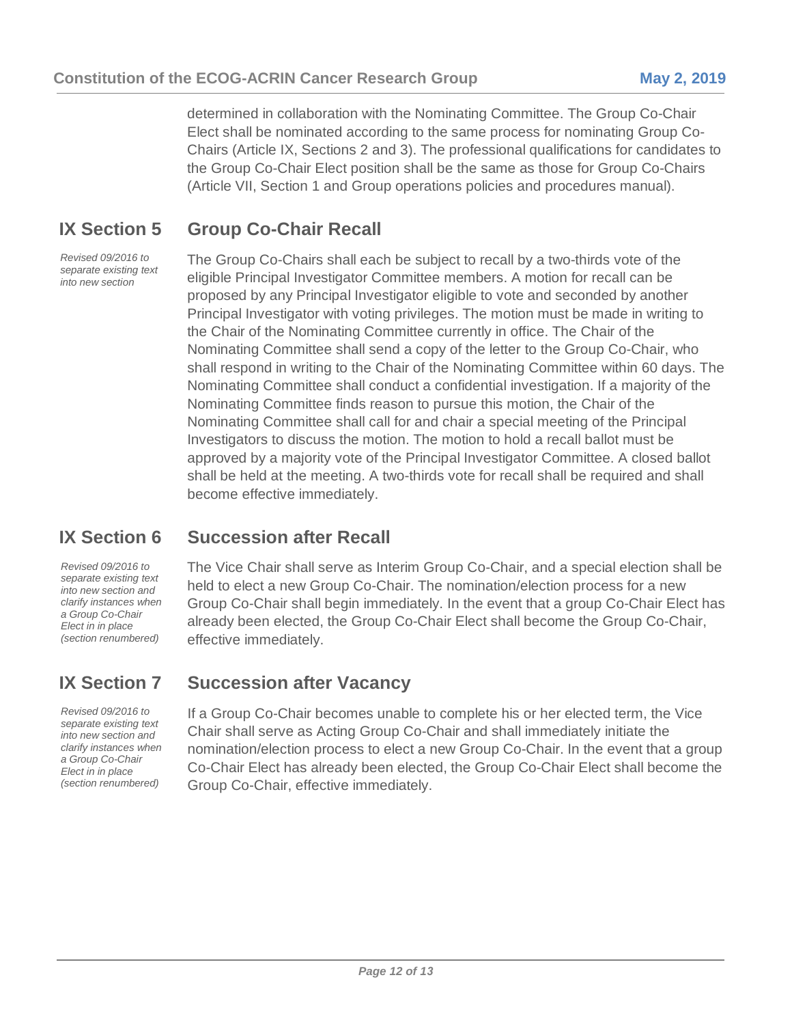determined in collaboration with the Nominating Committee. The Group Co-Chair Elect shall be nominated according to the same process for nominating Group Co-Chairs (Article IX, Sections 2 and 3). The professional qualifications for candidates to the Group Co-Chair Elect position shall be the same as those for Group Co-Chairs (Article VII, Section 1 and Group operations policies and procedures manual).

## **IX Section 5 Group Co-Chair Recall**

*Revised 09/2016 to separate existing text into new section* 

The Group Co-Chairs shall each be subject to recall by a two-thirds vote of the eligible Principal Investigator Committee members. A motion for recall can be proposed by any Principal Investigator eligible to vote and seconded by another Principal Investigator with voting privileges. The motion must be made in writing to the Chair of the Nominating Committee currently in office. The Chair of the Nominating Committee shall send a copy of the letter to the Group Co-Chair, who shall respond in writing to the Chair of the Nominating Committee within 60 days. The Nominating Committee shall conduct a confidential investigation. If a majority of the Nominating Committee finds reason to pursue this motion, the Chair of the Nominating Committee shall call for and chair a special meeting of the Principal Investigators to discuss the motion. The motion to hold a recall ballot must be approved by a majority vote of the Principal Investigator Committee. A closed ballot shall be held at the meeting. A two-thirds vote for recall shall be required and shall become effective immediately.

#### **IX Section 6 Succession after Recall**

#### *Revised 09/2016 to separate existing text into new section and clarify instances when a Group Co-Chair Elect in in place (section renumbered)*

The Vice Chair shall serve as Interim Group Co-Chair, and a special election shall be held to elect a new Group Co-Chair. The nomination/election process for a new Group Co-Chair shall begin immediately. In the event that a group Co-Chair Elect has already been elected, the Group Co-Chair Elect shall become the Group Co-Chair, effective immediately.

#### **IX Section 7 Succession after Vacancy**

*Revised 09/2016 to separate existing text into new section and clarify instances when a Group Co-Chair Elect in in place (section renumbered)*

If a Group Co-Chair becomes unable to complete his or her elected term, the Vice Chair shall serve as Acting Group Co-Chair and shall immediately initiate the nomination/election process to elect a new Group Co-Chair. In the event that a group Co-Chair Elect has already been elected, the Group Co-Chair Elect shall become the Group Co-Chair, effective immediately.